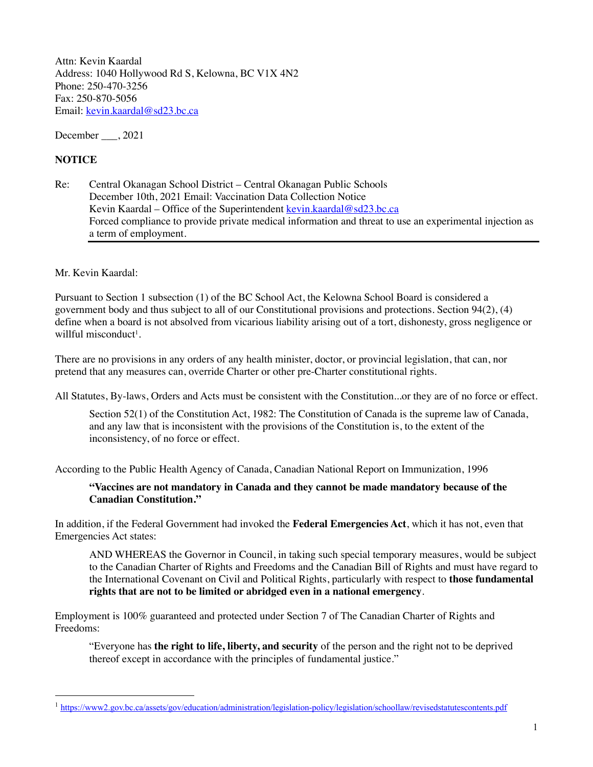Attn: Kevin Kaardal Address: 1040 Hollywood Rd S, Kelowna, BC V1X 4N2 Phone: 250-470-3256 Fax: 250-870-5056 Email: kevin.kaardal@sd23.bc.ca

December , 2021

## **NOTICE**

Re: Central Okanagan School District – Central Okanagan Public Schools December 10th, 2021 Email: Vaccination Data Collection Notice Kevin Kaardal – Office of the Superintendent kevin.kaardal@sd23.bc.ca Forced compliance to provide private medical information and threat to use an experimental injection as a term of employment.

Mr. Kevin Kaardal:

Pursuant to Section 1 subsection (1) of the BC School Act, the Kelowna School Board is considered a government body and thus subject to all of our Constitutional provisions and protections. Section 94(2), (4) define when a board is not absolved from vicarious liability arising out of a tort, dishonesty, gross negligence or willful misconduct<sup>1</sup>.

There are no provisions in any orders of any health minister, doctor, or provincial legislation, that can, nor pretend that any measures can, override Charter or other pre-Charter constitutional rights.

All Statutes, By-laws, Orders and Acts must be consistent with the Constitution...or they are of no force or effect.

Section 52(1) of the Constitution Act, 1982: The Constitution of Canada is the supreme law of Canada, and any law that is inconsistent with the provisions of the Constitution is, to the extent of the inconsistency, of no force or effect.

According to the Public Health Agency of Canada, Canadian National Report on Immunization, 1996

## **"Vaccines are not mandatory in Canada and they cannot be made mandatory because of the Canadian Constitution."**

In addition, if the Federal Government had invoked the **Federal Emergencies Act**, which it has not, even that Emergencies Act states:

AND WHEREAS the Governor in Council, in taking such special temporary measures, would be subject to the Canadian Charter of Rights and Freedoms and the Canadian Bill of Rights and must have regard to the International Covenant on Civil and Political Rights, particularly with respect to **those fundamental rights that are not to be limited or abridged even in a national emergency**.

Employment is 100% guaranteed and protected under Section 7 of The Canadian Charter of Rights and Freedoms:

"Everyone has **the right to life, liberty, and security** of the person and the right not to be deprived thereof except in accordance with the principles of fundamental justice."

<sup>&</sup>lt;sup>1</sup> https://www2.gov.bc.ca/assets/gov/education/administration/legislation-policy/legislation/schoollaw/revisedstatutescontents.pdf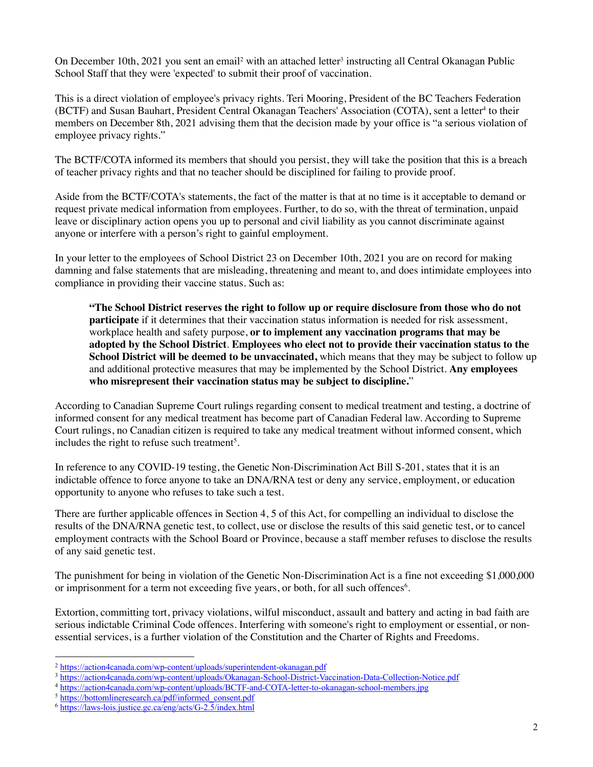On December 10th, 2021 you sent an email<sup>2</sup> with an attached letter<sup>3</sup> instructing all Central Okanagan Public School Staff that they were 'expected' to submit their proof of vaccination.

This is a direct violation of employee's privacy rights. Teri Mooring, President of the BC Teachers Federation (BCTF) and Susan Bauhart, President Central Okanagan Teachers' Association (COTA), sent a letter<sup>4</sup> to their members on December 8th, 2021 advising them that the decision made by your office is "a serious violation of employee privacy rights."

The BCTF/COTA informed its members that should you persist, they will take the position that this is a breach of teacher privacy rights and that no teacher should be disciplined for failing to provide proof.

Aside from the BCTF/COTA's statements, the fact of the matter is that at no time is it acceptable to demand or request private medical information from employees. Further, to do so, with the threat of termination, unpaid leave or disciplinary action opens you up to personal and civil liability as you cannot discriminate against anyone or interfere with a person's right to gainful employment.

In your letter to the employees of School District 23 on December 10th, 2021 you are on record for making damning and false statements that are misleading, threatening and meant to, and does intimidate employees into compliance in providing their vaccine status. Such as:

**"The School District reserves the right to follow up or require disclosure from those who do not participate** if it determines that their vaccination status information is needed for risk assessment, workplace health and safety purpose, **or to implement any vaccination programs that may be adopted by the School District**. **Employees who elect not to provide their vaccination status to the School District will be deemed to be unvaccinated,** which means that they may be subject to follow up and additional protective measures that may be implemented by the School District. **Any employees who misrepresent their vaccination status may be subject to discipline.**"

According to Canadian Supreme Court rulings regarding consent to medical treatment and testing, a doctrine of informed consent for any medical treatment has become part of Canadian Federal law. According to Supreme Court rulings, no Canadian citizen is required to take any medical treatment without informed consent, which includes the right to refuse such treatment<sup>5</sup>.

In reference to any COVID-19 testing, the Genetic Non-Discrimination Act Bill S-201, states that it is an indictable offence to force anyone to take an DNA/RNA test or deny any service, employment, or education opportunity to anyone who refuses to take such a test.

There are further applicable offences in Section 4, 5 of this Act, for compelling an individual to disclose the results of the DNA/RNA genetic test, to collect, use or disclose the results of this said genetic test, or to cancel employment contracts with the School Board or Province, because a staff member refuses to disclose the results of any said genetic test.

The punishment for being in violation of the Genetic Non-Discrimination Act is a fine not exceeding \$1,000,000 or imprisonment for a term not exceeding five years, or both, for all such offences<sup>6</sup>.

Extortion, committing tort, privacy violations, wilful misconduct, assault and battery and acting in bad faith are serious indictable Criminal Code offences. Interfering with someone's right to employment or essential, or nonessential services, is a further violation of the Constitution and the Charter of Rights and Freedoms.

<sup>&</sup>lt;sup>2</sup> https://action4canada.com/wp-content/uploads/superintendent-okanagan.pdf

<sup>&</sup>lt;sup>3</sup> https://action4canada.com/wp-content/uploads/Okanagan-School-District-Vaccination-Data-Collection-Notice.pdf

<sup>4</sup> https://action4canada.com/wp-content/uploads/BCTF-and-COTA-letter-to-okanagan-school-members.jpg

<sup>&</sup>lt;sup>5</sup> https://bottomlineresearch.ca/pdf/informed\_consent.pdf

 $6 \frac{\text{https://laws-lois.justice.gc.ca/eng/acts/G-2.5/index.html}}{$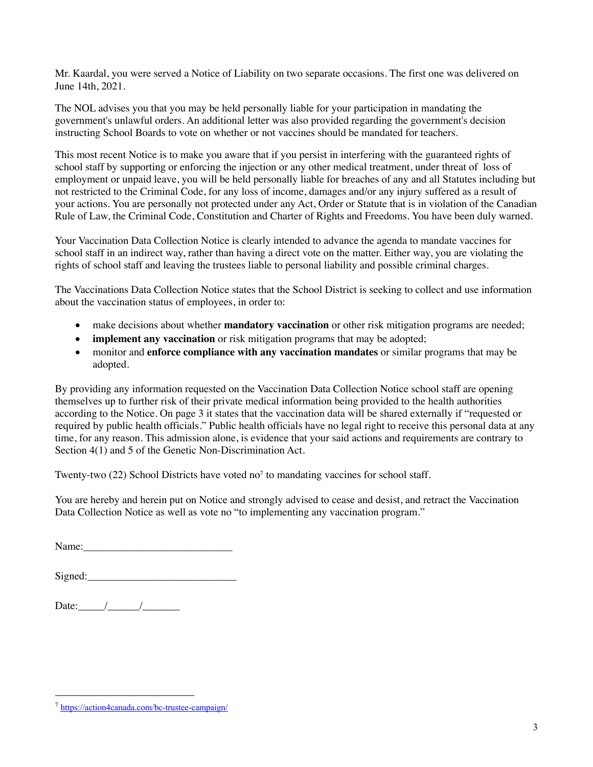Mr. Kaardal, you were served a Notice of Liability on two separate occasions. The first one was delivered on June 14th, 2021.

The NOL advises you that you may be held personally liable for your participation in mandating the government's unlawful orders. An additional letter was also provided regarding the government's decision instructing School Boards to vote on whether or not vaccines should be mandated for teachers.

This most recent Notice is to make you aware that if you persist in interfering with the guaranteed rights of school staff by supporting or enforcing the injection or any other medical treatment, under threat of loss of employment or unpaid leave, you will be held personally liable for breaches of any and all Statutes including but not restricted to the Criminal Code, for any loss of income, damages and/or any injury suffered as a result of your actions. You are personally not protected under any Act, Order or Statute that is in violation of the Canadian Rule of Law, the Criminal Code, Constitution and Charter of Rights and Freedoms. You have been duly warned.

Your Vaccination Data Collection Notice is clearly intended to advance the agenda to mandate vaccines for school staff in an indirect way, rather than having a direct vote on the matter. Either way, you are violating the rights of school staff and leaving the trustees liable to personal liability and possible criminal charges.

The Vaccinations Data Collection Notice states that the School District is seeking to collect and use information about the vaccination status of employees, in order to:

- make decisions about whether **mandatory vaccination** or other risk mitigation programs are needed;
- **implement any vaccination** or risk mitigation programs that may be adopted;
- monitor and **enforce compliance with any vaccination mandates** or similar programs that may be adopted.

By providing any information requested on the Vaccination Data Collection Notice school staff are opening themselves up to further risk of their private medical information being provided to the health authorities according to the Notice. On page 3 it states that the vaccination data will be shared externally if "requested or required by public health officials." Public health officials have no legal right to receive this personal data at any time, for any reason. This admission alone, is evidence that your said actions and requirements are contrary to Section 4(1) and 5 of the Genetic Non-Discrimination Act.

Twenty-two  $(22)$  School Districts have voted no<sup>7</sup> to mandating vaccines for school staff.

You are hereby and herein put on Notice and strongly advised to cease and desist, and retract the Vaccination Data Collection Notice as well as vote no "to implementing any vaccination program."

Name:

| Signed:<br>້ |
|--------------|
|--------------|

Date:  $\frac{1}{\sqrt{2\pi}}$ 

<sup>7</sup> https://action4canada.com/bc-trustee-campaign/